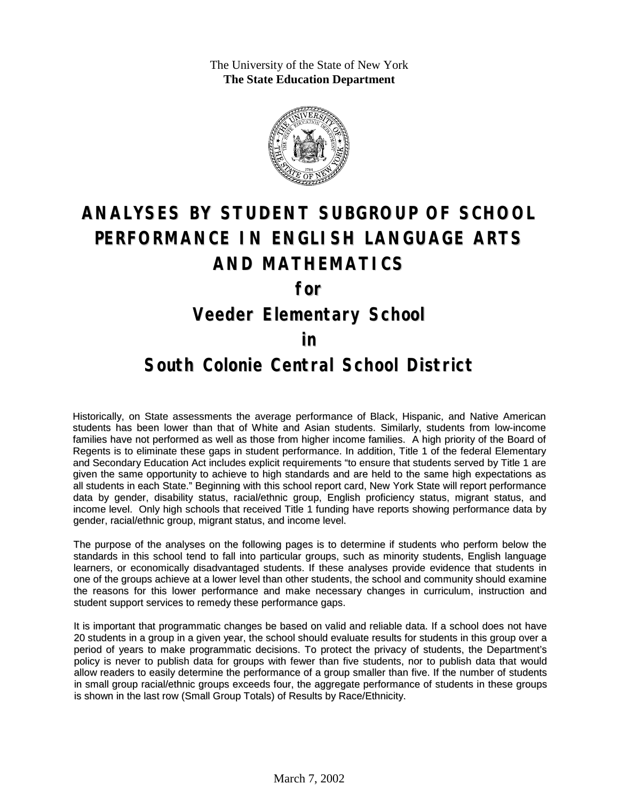The University of the State of New York **The State Education Department**



# **ANALYSES BY STUDENT SUBGROUP OF SCHOOL PERFORMANCE IN ENGLISH LANGUAGE ARTS AND MATHEMATICS**

**for**

### **Veeder Elementary School**

#### **in**

#### **South Colonie Central School District**

Historically, on State assessments the average performance of Black, Hispanic, and Native American students has been lower than that of White and Asian students. Similarly, students from low-income families have not performed as well as those from higher income families. A high priority of the Board of Regents is to eliminate these gaps in student performance. In addition, Title 1 of the federal Elementary and Secondary Education Act includes explicit requirements "to ensure that students served by Title 1 are given the same opportunity to achieve to high standards and are held to the same high expectations as all students in each State." Beginning with this school report card, New York State will report performance data by gender, disability status, racial/ethnic group, English proficiency status, migrant status, and income level. Only high schools that received Title 1 funding have reports showing performance data by gender, racial/ethnic group, migrant status, and income level.

The purpose of the analyses on the following pages is to determine if students who perform below the standards in this school tend to fall into particular groups, such as minority students, English language learners, or economically disadvantaged students. If these analyses provide evidence that students in one of the groups achieve at a lower level than other students, the school and community should examine the reasons for this lower performance and make necessary changes in curriculum, instruction and student support services to remedy these performance gaps.

It is important that programmatic changes be based on valid and reliable data. If a school does not have 20 students in a group in a given year, the school should evaluate results for students in this group over a period of years to make programmatic decisions. To protect the privacy of students, the Department's policy is never to publish data for groups with fewer than five students, nor to publish data that would allow readers to easily determine the performance of a group smaller than five. If the number of students in small group racial/ethnic groups exceeds four, the aggregate performance of students in these groups is shown in the last row (Small Group Totals) of Results by Race/Ethnicity.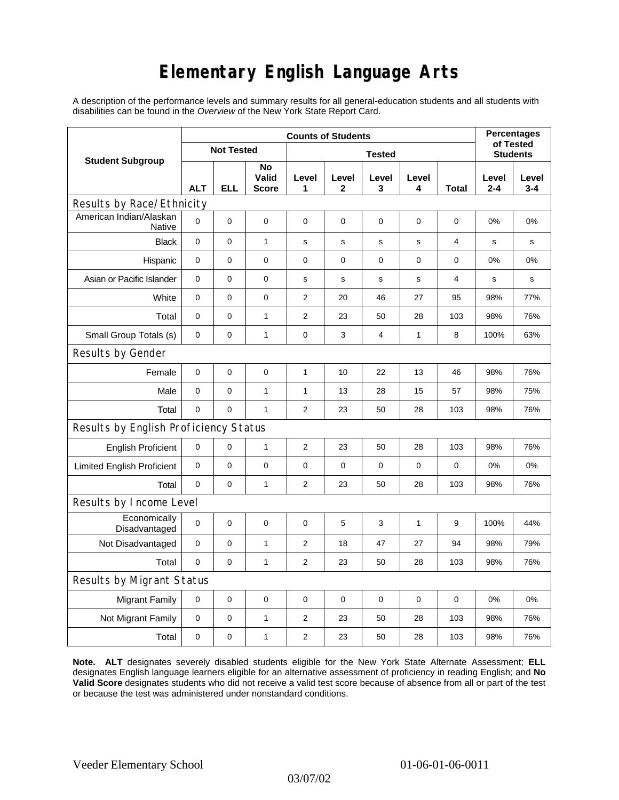## **Elementary English Language Arts**

A description of the performance levels and summary results for all general-education students and all students with disabilities can be found in the *Overview* of the New York State Report Card.

|                                          | <b>Counts of Students</b> |            |                             |                |             |             |              |       | <b>Percentages</b>           |                  |
|------------------------------------------|---------------------------|------------|-----------------------------|----------------|-------------|-------------|--------------|-------|------------------------------|------------------|
| <b>Student Subgroup</b>                  | <b>Not Tested</b>         |            |                             | <b>Tested</b>  |             |             |              |       | of Tested<br><b>Students</b> |                  |
|                                          | <b>ALT</b>                | <b>ELL</b> | No<br>Valid<br><b>Score</b> | Level<br>1     | Level<br>2  | Level<br>3  | Level<br>4   | Total | Level<br>$2 - 4$             | Level<br>$3 - 4$ |
| Results by Race/Ethnicity                |                           |            |                             |                |             |             |              |       |                              |                  |
| American Indian/Alaskan<br><b>Native</b> | $\Omega$                  | 0          | 0                           | $\mathbf 0$    | $\mathbf 0$ | $\mathbf 0$ | $\mathbf 0$  | 0     | 0%                           | 0%               |
| <b>Black</b>                             | 0                         | $\pmb{0}$  | 1                           | s              | $\mathbf s$ | $\mathbf s$ | s            | 4     | $\mathbf s$                  | $\mathbf s$      |
| Hispanic                                 | 0                         | 0          | 0                           | 0              | 0           | 0           | 0            | 0     | 0%                           | 0%               |
| Asian or Pacific Islander                | $\mathbf 0$               | 0          | 0                           | s              | $\mathbf s$ | S           | $\mathbf S$  | 4     | s                            | s                |
| White                                    | 0                         | 0          | $\mathbf 0$                 | $\mathbf{2}$   | 20          | 46          | 27           | 95    | 98%                          | 77%              |
| Total                                    | 0                         | 0          | 1                           | $\mathbf{2}$   | 23          | 50          | 28           | 103   | 98%                          | 76%              |
| Small Group Totals (s)                   | 0                         | 0          | $\mathbf{1}$                | $\pmb{0}$      | 3           | 4           | 1            | 8     | 100%                         | 63%              |
| Results by Gender                        |                           |            |                             |                |             |             |              |       |                              |                  |
| Female                                   | 0                         | 0          | $\pmb{0}$                   | $\mathbf{1}$   | 10          | 22          | 13           | 46    | 98%                          | 76%              |
| Male                                     | 0                         | 0          | 1                           | $\mathbf{1}$   | 13          | 28          | 15           | 57    | 98%                          | 75%              |
| Total                                    | 0                         | 0          | $\mathbf{1}$                | $\overline{2}$ | 23          | 50          | 28           | 103   | 98%                          | 76%              |
| Results by English Proficiency Status    |                           |            |                             |                |             |             |              |       |                              |                  |
| <b>English Proficient</b>                | 0                         | 0          | $\mathbf{1}$                | $\overline{2}$ | 23          | 50          | 28           | 103   | 98%                          | 76%              |
| <b>Limited English Proficient</b>        | 0                         | 0          | $\mathbf 0$                 | $\mathbf 0$    | $\mathbf 0$ | $\mathbf 0$ | $\mathbf 0$  | 0     | 0%                           | 0%               |
| Total                                    | $\Omega$                  | 0          | $\mathbf{1}$                | 2              | 23          | 50          | 28           | 103   | 98%                          | 76%              |
| Results by Income Level                  |                           |            |                             |                |             |             |              |       |                              |                  |
| Economically<br>Disadvantaged            | $\mathbf 0$               | 0          | 0                           | 0              | 5           | 3           | $\mathbf{1}$ | 9     | 100%                         | 44%              |
| Not Disadvantaged                        | 0                         | 0          | $\mathbf{1}$                | $\mathbf{2}$   | 18          | 47          | 27           | 94    | 98%                          | 79%              |
| Total                                    | $\mathbf 0$               | 0          | $\mathbf{1}$                | $\mathbf{2}$   | 23          | 50          | 28           | 103   | 98%                          | 76%              |
| Results by Migrant Status                |                           |            |                             |                |             |             |              |       |                              |                  |
| <b>Migrant Family</b>                    | 0                         | 0          | $\pmb{0}$                   | $\mathbf 0$    | $\mathbf 0$ | $\mathbf 0$ | 0            | 0     | 0%                           | 0%               |
| Not Migrant Family                       | 0                         | 0          | $\mathbf{1}$                | 2              | 23          | 50          | 28           | 103   | 98%                          | 76%              |
| Total                                    | 0                         | 0          | 1                           | 2              | 23          | 50          | 28           | 103   | 98%                          | 76%              |

**Note. ALT** designates severely disabled students eligible for the New York State Alternate Assessment; **ELL** designates English language learners eligible for an alternative assessment of proficiency in reading English; and **No Valid Score** designates students who did not receive a valid test score because of absence from all or part of the test or because the test was administered under nonstandard conditions.

03/07/02